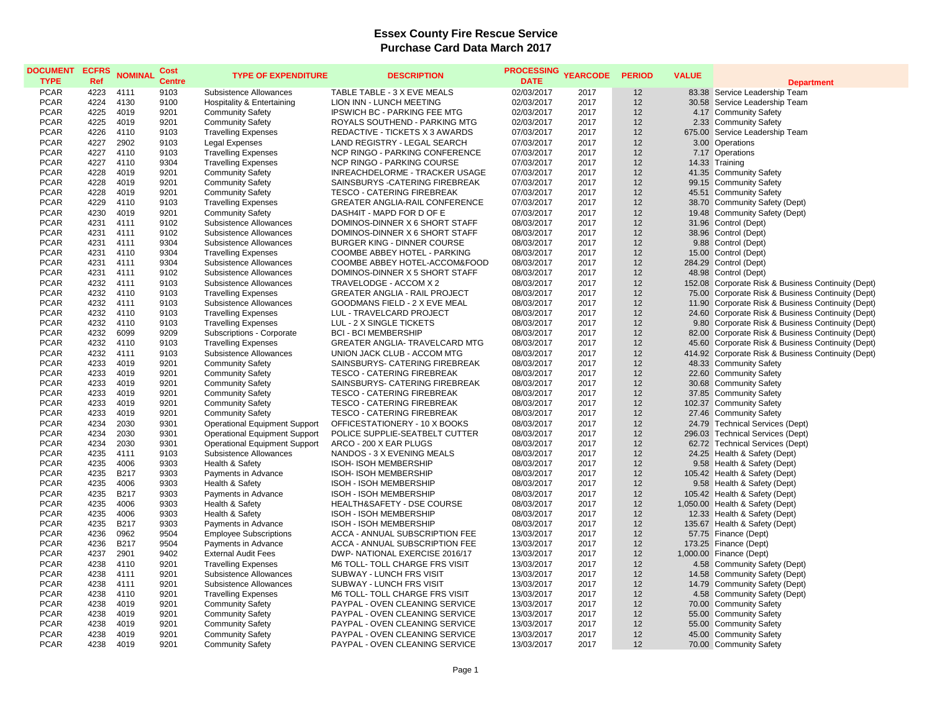| <b>DOCUMENT</b><br><b>TYPE</b> | <b>ECFRS</b><br>Ref | <b>NOMINAL</b> | Cost<br><b>Centre</b> | <b>TYPE OF EXPENDITURE</b>           | <b>DESCRIPTION</b>                   | <b>PROCESSING</b><br><b>DATE</b> | <b>YEARCODE</b> | <b>PERIOD</b> | <b>VALUE</b> |                                                    |
|--------------------------------|---------------------|----------------|-----------------------|--------------------------------------|--------------------------------------|----------------------------------|-----------------|---------------|--------------|----------------------------------------------------|
|                                |                     |                |                       |                                      |                                      |                                  |                 |               |              | <b>Department</b>                                  |
| <b>PCAR</b>                    | 4223                | 4111           | 9103                  | Subsistence Allowances               | TABLE TABLE - 3 X EVE MEALS          | 02/03/2017                       | 2017            | 12            |              | 83.38 Service Leadership Team                      |
| <b>PCAR</b>                    | 4224                | 4130           | 9100                  | Hospitality & Entertaining           | LION INN - LUNCH MEETING             | 02/03/2017                       | 2017            | 12            |              | 30.58 Service Leadership Team                      |
| <b>PCAR</b>                    | 4225                | 4019           | 9201                  | <b>Community Safety</b>              | <b>IPSWICH BC - PARKING FEE MTG</b>  | 02/03/2017                       | 2017            | 12            |              | 4.17 Community Safety                              |
| <b>PCAR</b>                    | 4225                | 4019           | 9201                  | <b>Community Safety</b>              | ROYALS SOUTHEND - PARKING MTG        | 02/03/2017                       | 2017            | 12            |              | 2.33 Community Safety                              |
| <b>PCAR</b>                    | 4226                | 4110           | 9103                  | <b>Travelling Expenses</b>           | REDACTIVE - TICKETS X 3 AWARDS       | 07/03/2017                       | 2017            | 12            |              | 675.00 Service Leadership Team                     |
| <b>PCAR</b>                    | 4227                | 2902           | 9103                  | <b>Legal Expenses</b>                | LAND REGISTRY - LEGAL SEARCH         | 07/03/2017                       | 2017            | 12            |              | 3.00 Operations                                    |
| <b>PCAR</b>                    | 4227                | 4110           | 9103                  | <b>Travelling Expenses</b>           | NCP RINGO - PARKING CONFERENCE       | 07/03/2017                       | 2017            | 12            |              | 7.17 Operations                                    |
| <b>PCAR</b>                    | 4227                | 4110           | 9304                  | <b>Travelling Expenses</b>           | NCP RINGO - PARKING COURSE           | 07/03/2017                       | 2017            | 12            |              | 14.33 Training                                     |
| <b>PCAR</b>                    | 4228                | 4019           | 9201                  | <b>Community Safety</b>              | INREACHDELORME - TRACKER USAGE       | 07/03/2017                       | 2017            | 12            |              | 41.35 Community Safety                             |
| <b>PCAR</b>                    | 4228                | 4019           | 9201                  | <b>Community Safety</b>              | SAINSBURYS - CATERING FIREBREAK      | 07/03/2017                       | 2017            | 12            |              | 99.15 Community Safety                             |
| <b>PCAR</b>                    | 4228                | 4019           | 9201                  | <b>Community Safety</b>              | TESCO - CATERING FIREBREAK           | 07/03/2017                       | 2017            | 12            |              | 45.51 Community Safety                             |
| <b>PCAR</b>                    | 4229                | 4110           | 9103                  | <b>Travelling Expenses</b>           | GREATER ANGLIA-RAIL CONFERENCE       | 07/03/2017                       | 2017            | 12            |              | 38.70 Community Safety (Dept)                      |
| <b>PCAR</b>                    | 4230                | 4019           | 9201                  | <b>Community Safety</b>              | DASH4IT - MAPD FOR D OF E            | 07/03/2017                       | 2017            | 12            |              | 19.48 Community Safety (Dept)                      |
| <b>PCAR</b>                    | 4231                | 4111           | 9102                  | Subsistence Allowances               | DOMINOS-DINNER X 6 SHORT STAFF       | 08/03/2017                       | 2017            | 12            |              | 31.96 Control (Dept)                               |
| <b>PCAR</b>                    | 4231                | 4111           | 9102                  | Subsistence Allowances               | DOMINOS-DINNER X 6 SHORT STAFF       | 08/03/2017                       | 2017            | 12            |              | 38.96 Control (Dept)                               |
| <b>PCAR</b>                    | 4231                | 4111           | 9304                  | Subsistence Allowances               | <b>BURGER KING - DINNER COURSE</b>   | 08/03/2017                       | 2017            | 12            |              | 9.88 Control (Dept)                                |
| <b>PCAR</b>                    | 4231                | 4110           | 9304                  | <b>Travelling Expenses</b>           | COOMBE ABBEY HOTEL - PARKING         | 08/03/2017                       | 2017            | 12            |              | 15.00 Control (Dept)                               |
| <b>PCAR</b>                    | 4231                | 4111           | 9304                  | Subsistence Allowances               | COOMBE ABBEY HOTEL-ACCOM&FOOD        | 08/03/2017                       | 2017            | 12            |              | 284.29 Control (Dept)                              |
| <b>PCAR</b>                    | 4231                | 4111           | 9102                  | Subsistence Allowances               | DOMINOS-DINNER X 5 SHORT STAFF       | 08/03/2017                       | 2017            | 12            |              | 48.98 Control (Dept)                               |
| <b>PCAR</b>                    | 4232                | 4111           | 9103                  | Subsistence Allowances               | TRAVELODGE - ACCOM X 2               | 08/03/2017                       | 2017            | 12            |              | 152.08 Corporate Risk & Business Continuity (Dept) |
| <b>PCAR</b>                    | 4232                | 4110           | 9103                  | <b>Travelling Expenses</b>           | <b>GREATER ANGLIA - RAIL PROJECT</b> | 08/03/2017                       | 2017            | 12            |              | 75.00 Corporate Risk & Business Continuity (Dept)  |
| <b>PCAR</b>                    | 4232                | 4111           | 9103                  | Subsistence Allowances               | GOODMANS FIELD - 2 X EVE MEAL        | 08/03/2017                       | 2017            | 12            |              | 11.90 Corporate Risk & Business Continuity (Dept)  |
| <b>PCAR</b>                    | 4232                | 4110           | 9103                  | <b>Travelling Expenses</b>           | LUL - TRAVELCARD PROJECT             | 08/03/2017                       | 2017            | 12            |              | 24.60 Corporate Risk & Business Continuity (Dept)  |
| <b>PCAR</b>                    | 4232                | 4110           | 9103                  | <b>Travelling Expenses</b>           | LUL - 2 X SINGLE TICKETS             | 08/03/2017                       | 2017            | 12            |              | 9.80 Corporate Risk & Business Continuity (Dept)   |
| <b>PCAR</b>                    | 4232                | 6099           | 9209                  | Subscriptions - Corporate            | <b>BCI - BCI MEMBERSHIP</b>          | 08/03/2017                       | 2017            | 12            |              | 82.00 Corporate Risk & Business Continuity (Dept)  |
| <b>PCAR</b>                    | 4232                | 4110           | 9103                  | <b>Travelling Expenses</b>           | GREATER ANGLIA- TRAVELCARD MTG       | 08/03/2017                       | 2017            | 12            |              | 45.60 Corporate Risk & Business Continuity (Dept)  |
| <b>PCAR</b>                    | 4232                | 4111           | 9103                  | Subsistence Allowances               | UNION JACK CLUB - ACCOM MTG          | 08/03/2017                       | 2017            | 12            |              | 414.92 Corporate Risk & Business Continuity (Dept) |
| <b>PCAR</b>                    | 4233                | 4019           | 9201                  | <b>Community Safety</b>              | SAINSBURYS- CATERING FIREBREAK       | 08/03/2017                       | 2017            | 12            |              | 48.33 Community Safety                             |
| <b>PCAR</b>                    | 4233                | 4019           | 9201                  | <b>Community Safety</b>              | TESCO - CATERING FIREBREAK           | 08/03/2017                       | 2017            | 12            |              | 22.60 Community Safety                             |
| <b>PCAR</b>                    | 4233                | 4019           | 9201                  | <b>Community Safety</b>              | SAINSBURYS- CATERING FIREBREAK       | 08/03/2017                       | 2017            | 12            |              | 30.68 Community Safety                             |
| <b>PCAR</b>                    | 4233                | 4019           | 9201                  | <b>Community Safety</b>              | <b>TESCO - CATERING FIREBREAK</b>    | 08/03/2017                       | 2017            | 12            |              | 37.85 Community Safety                             |
| <b>PCAR</b>                    | 4233                | 4019           | 9201                  | <b>Community Safety</b>              | <b>TESCO - CATERING FIREBREAK</b>    | 08/03/2017                       | 2017            | 12            |              | 102.37 Community Safety                            |
| <b>PCAR</b>                    | 4233                | 4019           | 9201                  | <b>Community Safety</b>              | TESCO - CATERING FIREBREAK           | 08/03/2017                       | 2017            | 12            |              | 27.46 Community Safety                             |
| PCAR                           | 4234                | 2030           | 9301                  | <b>Operational Equipment Support</b> | OFFICESTATIONERY - 10 X BOOKS        | 08/03/2017                       | 2017            | 12            |              | 24.79 Technical Services (Dept)                    |
| <b>PCAR</b>                    | 4234                | 2030           | 9301                  | <b>Operational Equipment Support</b> | POLICE SUPPLIE-SEATBELT CUTTER       | 08/03/2017                       | 2017            | 12            |              | 296.03 Technical Services (Dept)                   |
| <b>PCAR</b>                    | 4234                | 2030           | 9301                  | <b>Operational Equipment Support</b> | ARCO - 200 X EAR PLUGS               | 08/03/2017                       | 2017            | 12            |              | 62.72 Technical Services (Dept)                    |
| <b>PCAR</b>                    | 4235                | 4111           | 9103                  | Subsistence Allowances               | NANDOS - 3 X EVENING MEALS           | 08/03/2017                       | 2017            | 12            |              | 24.25 Health & Safety (Dept)                       |
| <b>PCAR</b>                    | 4235                | 4006           | 9303                  | Health & Safety                      | ISOH- ISOH MEMBERSHIP                | 08/03/2017                       | 2017            | 12            |              | 9.58 Health & Safety (Dept)                        |
| <b>PCAR</b>                    | 4235                | <b>B217</b>    | 9303                  | Payments in Advance                  | ISOH- ISOH MEMBERSHIP                | 08/03/2017                       | 2017            | 12            |              | 105.42 Health & Safety (Dept)                      |
| <b>PCAR</b>                    | 4235                | 4006           | 9303                  | Health & Safety                      | ISOH - ISOH MEMBERSHIP               | 08/03/2017                       | 2017            | 12            |              | 9.58 Health & Safety (Dept)                        |
| <b>PCAR</b>                    | 4235                | B217           | 9303                  | Payments in Advance                  | <b>ISOH - ISOH MEMBERSHIP</b>        | 08/03/2017                       | 2017            | 12            |              | 105.42 Health & Safety (Dept)                      |
| <b>PCAR</b>                    | 4235                | 4006           | 9303                  | Health & Safety                      | HEALTH&SAFETY - DSE COURSE           | 08/03/2017                       | 2017            | 12            |              | 1,050.00 Health & Safety (Dept)                    |
| <b>PCAR</b>                    | 4235                | 4006           | 9303                  | Health & Safety                      | <b>ISOH - ISOH MEMBERSHIP</b>        | 08/03/2017                       | 2017            | 12            |              | 12.33 Health & Safety (Dept)                       |
| <b>PCAR</b>                    | 4235                | <b>B217</b>    | 9303                  | Payments in Advance                  | <b>ISOH - ISOH MEMBERSHIP</b>        | 08/03/2017                       | 2017            | 12            |              | 135.67 Health & Safety (Dept)                      |
| <b>PCAR</b>                    | 4236                | 0962           | 9504                  | <b>Employee Subscriptions</b>        | ACCA - ANNUAL SUBSCRIPTION FEE       | 13/03/2017                       | 2017            | 12            |              | 57.75 Finance (Dept)                               |
| <b>PCAR</b>                    | 4236                | <b>B217</b>    | 9504                  | Payments in Advance                  | ACCA - ANNUAL SUBSCRIPTION FEE       | 13/03/2017                       | 2017            | 12            |              | 173.25 Finance (Dept)                              |
| <b>PCAR</b>                    | 4237                | 2901           | 9402                  | <b>External Audit Fees</b>           | DWP-NATIONAL EXERCISE 2016/17        | 13/03/2017                       | 2017            | 12            |              | 1,000.00 Finance (Dept)                            |
| <b>PCAR</b>                    | 4238                | 4110           | 9201                  | <b>Travelling Expenses</b>           | M6 TOLL- TOLL CHARGE FRS VISIT       | 13/03/2017                       | 2017            | 12            |              | 4.58 Community Safety (Dept)                       |
| <b>PCAR</b>                    | 4238                | 4111           | 9201                  | Subsistence Allowances               | SUBWAY - LUNCH FRS VISIT             | 13/03/2017                       | 2017            | 12            |              | 14.58 Community Safety (Dept)                      |
| <b>PCAR</b>                    | 4238                | 4111           | 9201                  | Subsistence Allowances               | SUBWAY - LUNCH FRS VISIT             | 13/03/2017                       | 2017            | 12            |              | 14.79 Community Safety (Dept)                      |
| <b>PCAR</b>                    | 4238                | 4110           | 9201                  | <b>Travelling Expenses</b>           | M6 TOLL- TOLL CHARGE FRS VISIT       | 13/03/2017                       | 2017            | 12            |              | 4.58 Community Safety (Dept)                       |
| PCAR                           | 4238                | 4019           | 9201                  | <b>Community Safety</b>              | PAYPAL - OVEN CLEANING SERVICE       | 13/03/2017                       | 2017            | 12            |              | 70.00 Community Safety                             |
| <b>PCAR</b>                    | 4238                | 4019           | 9201                  | <b>Community Safety</b>              | PAYPAL - OVEN CLEANING SERVICE       | 13/03/2017                       | 2017            | 12            |              | 55.00 Community Safety                             |
| <b>PCAR</b>                    | 4238                | 4019           | 9201                  | <b>Community Safety</b>              | PAYPAL - OVEN CLEANING SERVICE       | 13/03/2017                       | 2017            | 12            |              | 55.00 Community Safety                             |
| <b>PCAR</b>                    | 4238                | 4019           | 9201                  | <b>Community Safety</b>              | PAYPAL - OVEN CLEANING SERVICE       | 13/03/2017                       | 2017            | 12            |              | 45.00 Community Safety                             |
| <b>PCAR</b>                    | 4238                | 4019           | 9201                  | <b>Community Safety</b>              | PAYPAL - OVEN CLEANING SERVICE       | 13/03/2017                       | 2017            | 12            |              | 70.00 Community Safety                             |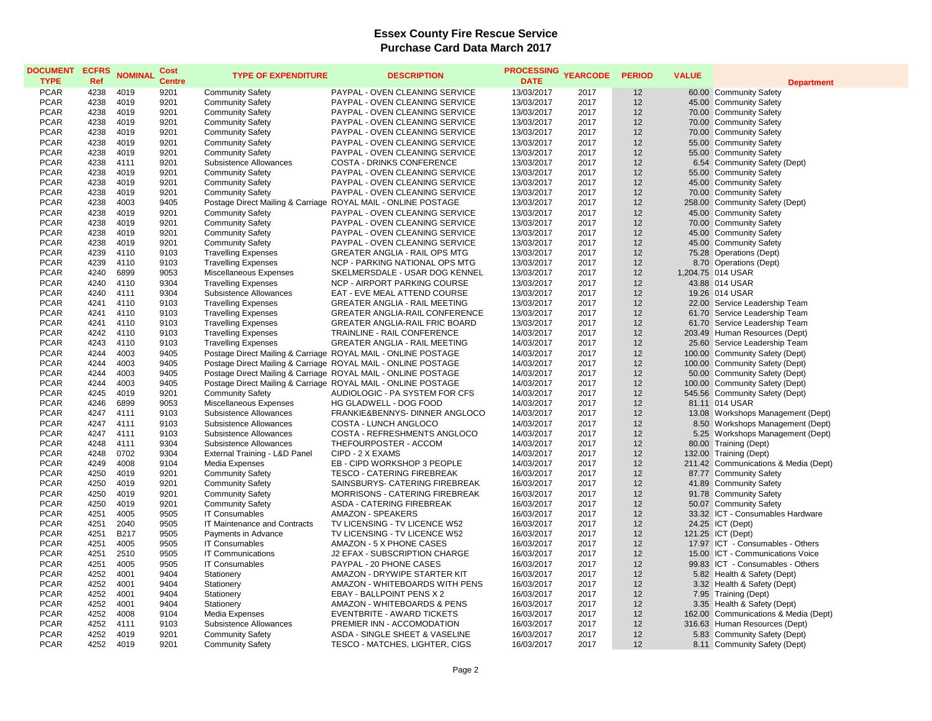| <b>DOCUMENT</b> | <b>ECFRS</b> | <b>NOMINAL</b> | Cost          | <b>TYPE OF EXPENDITURE</b>    | <b>DESCRIPTION</b>                                            | <b>PROCESSING</b> | <b>YEARCODE</b> | <b>PERIOD</b> | <b>VALUE</b> |                                      |
|-----------------|--------------|----------------|---------------|-------------------------------|---------------------------------------------------------------|-------------------|-----------------|---------------|--------------|--------------------------------------|
| <b>TYPE</b>     | <b>Ref</b>   |                | <b>Centre</b> |                               |                                                               | <b>DATE</b>       |                 |               |              | <b>Department</b>                    |
| <b>PCAR</b>     | 4238         | 4019           | 9201          | <b>Community Safety</b>       | PAYPAL - OVEN CLEANING SERVICE                                | 13/03/2017        | 2017            | 12            |              | 60.00 Community Safety               |
| <b>PCAR</b>     | 4238         | 4019           | 9201          | <b>Community Safety</b>       | <b>PAYPAL - OVEN CLEANING SERVICE</b>                         | 13/03/2017        | 2017            | 12            |              | 45.00 Community Safety               |
| <b>PCAR</b>     | 4238         | 4019           | 9201          | <b>Community Safety</b>       | PAYPAL - OVEN CLEANING SERVICE                                | 13/03/2017        | 2017            | 12            |              | 70.00 Community Safety               |
| <b>PCAR</b>     | 4238         | 4019           | 9201          | <b>Community Safety</b>       | PAYPAL - OVEN CLEANING SERVICE                                | 13/03/2017        | 2017            | 12            |              | 70.00 Community Safety               |
| <b>PCAR</b>     | 4238         | 4019           | 9201          | <b>Community Safety</b>       | PAYPAL - OVEN CLEANING SERVICE                                | 13/03/2017        | 2017            | 12            |              | 70.00 Community Safety               |
| <b>PCAR</b>     | 4238         | 4019           | 9201          | <b>Community Safety</b>       | PAYPAL - OVEN CLEANING SERVICE                                | 13/03/2017        | 2017            | 12            |              | 55.00 Community Safety               |
| <b>PCAR</b>     | 4238         | 4019           | 9201          | <b>Community Safety</b>       | PAYPAL - OVEN CLEANING SERVICE                                | 13/03/2017        | 2017            | 12            |              | 55.00 Community Safety               |
| <b>PCAR</b>     | 4238         | 4111           | 9201          | Subsistence Allowances        | COSTA - DRINKS CONFERENCE                                     | 13/03/2017        | 2017            | 12            |              | 6.54 Community Safety (Dept)         |
| <b>PCAR</b>     | 4238         | 4019           | 9201          | <b>Community Safety</b>       | PAYPAL - OVEN CLEANING SERVICE                                | 13/03/2017        | 2017            | 12            |              | 55.00 Community Safety               |
| <b>PCAR</b>     | 4238         | 4019           | 9201          | <b>Community Safety</b>       | <b>PAYPAL - OVEN CLEANING SERVICE</b>                         | 13/03/2017        | 2017            | 12            |              | 45.00 Community Safety               |
| <b>PCAR</b>     | 4238         | 4019           | 9201          | <b>Community Safety</b>       | PAYPAL - OVEN CLEANING SERVICE                                | 13/03/2017        | 2017            | 12            |              | 70.00 Community Safety               |
| <b>PCAR</b>     | 4238         | 4003           | 9405          |                               | Postage Direct Mailing & Carriage ROYAL MAIL - ONLINE POSTAGE | 13/03/2017        | 2017            | 12            |              | 258.00 Community Safety (Dept)       |
| <b>PCAR</b>     | 4238         | 4019           | 9201          | <b>Community Safety</b>       | PAYPAL - OVEN CLEANING SERVICE                                | 13/03/2017        | 2017            | 12            |              | 45.00 Community Safety               |
| <b>PCAR</b>     | 4238         | 4019           | 9201          | <b>Community Safety</b>       | PAYPAL - OVEN CLEANING SERVICE                                | 13/03/2017        | 2017            | 12            |              | 70.00 Community Safety               |
| <b>PCAR</b>     | 4238         | 4019           | 9201          | <b>Community Safety</b>       | PAYPAL - OVEN CLEANING SERVICE                                | 13/03/2017        | 2017            | 12            |              | 45.00 Community Safety               |
| <b>PCAR</b>     | 4238         | 4019           | 9201          | <b>Community Safety</b>       | PAYPAL - OVEN CLEANING SERVICE                                | 13/03/2017        | 2017            | 12            |              | 45.00 Community Safety               |
| <b>PCAR</b>     | 4239         | 4110           | 9103          | <b>Travelling Expenses</b>    | <b>GREATER ANGLIA - RAIL OPS MTG</b>                          | 13/03/2017        | 2017            | 12            |              | 75.28 Operations (Dept)              |
| <b>PCAR</b>     | 4239         | 4110           | 9103          | <b>Travelling Expenses</b>    | NCP - PARKING NATIONAL OPS MTG                                | 13/03/2017        | 2017            | 12            |              | 8.70 Operations (Dept)               |
| <b>PCAR</b>     | 4240         | 6899           | 9053          | Miscellaneous Expenses        | SKELMERSDALE - USAR DOG KENNEL                                | 13/03/2017        | 2017            | 12            |              | 1,204.75 014 USAR                    |
| <b>PCAR</b>     | 4240         | 4110           | 9304          | <b>Travelling Expenses</b>    | NCP - AIRPORT PARKING COURSE                                  | 13/03/2017        | 2017            | 12            |              | 43.88 014 USAR                       |
| <b>PCAR</b>     | 4240         | 4111           | 9304          | Subsistence Allowances        | EAT - EVE MEAL ATTEND COURSE                                  | 13/03/2017        | 2017            | 12            |              | 19.26 014 USAR                       |
| <b>PCAR</b>     | 4241         | 4110           | 9103          | <b>Travelling Expenses</b>    | <b>GREATER ANGLIA - RAIL MEETING</b>                          | 13/03/2017        | 2017            | 12            |              | 22.00 Service Leadership Team        |
| <b>PCAR</b>     | 4241         | 4110           | 9103          | <b>Travelling Expenses</b>    | GREATER ANGLIA-RAIL CONFERENCE                                | 13/03/2017        | 2017            | 12            |              | 61.70 Service Leadership Team        |
| <b>PCAR</b>     | 4241         | 4110           | 9103          | <b>Travelling Expenses</b>    | <b>GREATER ANGLIA-RAIL FRIC BOARD</b>                         | 13/03/2017        | 2017            | 12            |              | 61.70 Service Leadership Team        |
| <b>PCAR</b>     | 4242         | 4110           | 9103          | <b>Travelling Expenses</b>    | TRAINLINE - RAIL CONFERENCE                                   | 14/03/2017        | 2017            | 12            |              | 203.49 Human Resources (Dept)        |
| <b>PCAR</b>     | 4243         | 4110           | 9103          | <b>Travelling Expenses</b>    | <b>GREATER ANGLIA - RAIL MEETING</b>                          | 14/03/2017        | 2017            | 12            |              | 25.60 Service Leadership Team        |
| <b>PCAR</b>     | 4244         | 4003           | 9405          |                               | Postage Direct Mailing & Carriage ROYAL MAIL - ONLINE POSTAGE | 14/03/2017        | 2017            | 12            |              | 100.00 Community Safety (Dept)       |
| <b>PCAR</b>     | 4244         | 4003           | 9405          |                               | Postage Direct Mailing & Carriage ROYAL MAIL - ONLINE POSTAGE | 14/03/2017        | 2017            | 12            |              | 100.00 Community Safety (Dept)       |
| <b>PCAR</b>     | 4244         | 4003           | 9405          |                               | Postage Direct Mailing & Carriage ROYAL MAIL - ONLINE POSTAGE | 14/03/2017        | 2017            | 12            |              | 50.00 Community Safety (Dept)        |
| <b>PCAR</b>     | 4244         | 4003           | 9405          |                               | Postage Direct Mailing & Carriage ROYAL MAIL - ONLINE POSTAGE | 14/03/2017        | 2017            | 12            |              | 100.00 Community Safety (Dept)       |
| <b>PCAR</b>     | 4245         | 4019           | 9201          | <b>Community Safety</b>       | AUDIOLOGIC - PA SYSTEM FOR CFS                                | 14/03/2017        | 2017            | 12            |              | 545.56 Community Safety (Dept)       |
| <b>PCAR</b>     | 4246         | 6899           | 9053          | Miscellaneous Expenses        | HG GLADWELL - DOG FOOD                                        | 14/03/2017        | 2017            | 12            |              | 81.11 014 USAR                       |
| <b>PCAR</b>     | 4247         | 4111           | 9103          | Subsistence Allowances        | FRANKIE&BENNYS- DINNER ANGLOCO                                | 14/03/2017        | 2017            | 12            |              | 13.08 Workshops Management (Dept)    |
| <b>PCAR</b>     | 4247         | 4111           | 9103          | Subsistence Allowances        | COSTA - LUNCH ANGLOCO                                         | 14/03/2017        | 2017            | 12            |              | 8.50 Workshops Management (Dept)     |
| <b>PCAR</b>     | 4247         | 4111           | 9103          | Subsistence Allowances        | COSTA - REFRESHMENTS ANGLOCO                                  | 14/03/2017        | 2017            | 12            |              | 5.25 Workshops Management (Dept)     |
| <b>PCAR</b>     | 4248         | 4111           | 9304          | Subsistence Allowances        | THEFOURPOSTER - ACCOM                                         | 14/03/2017        | 2017            | 12            |              | 80.00 Training (Dept)                |
| <b>PCAR</b>     | 4248         | 0702           | 9304          | External Training - L&D Panel | CIPD - 2 X EXAMS                                              | 14/03/2017        | 2017            | 12            |              | 132.00 Training (Dept)               |
| <b>PCAR</b>     | 4249         | 4008           | 9104          | Media Expenses                | EB - CIPD WORKSHOP 3 PEOPLE                                   | 14/03/2017        | 2017            | 12            |              | 211.42 Communications & Media (Dept) |
| <b>PCAR</b>     | 4250         | 4019           | 9201          | <b>Community Safety</b>       | <b>TESCO - CATERING FIREBREAK</b>                             | 16/03/2017        | 2017            | 12            |              | 87.77 Community Safety               |
| <b>PCAR</b>     | 4250         | 4019           | 9201          | <b>Community Safety</b>       | SAINSBURYS- CATERING FIREBREAK                                | 16/03/2017        | 2017            | 12            |              | 41.89 Community Safety               |
| <b>PCAR</b>     | 4250         | 4019           | 9201          | <b>Community Safety</b>       | MORRISONS - CATERING FIREBREAK                                | 16/03/2017        | 2017            | 12            |              | 91.78 Community Safety               |
| <b>PCAR</b>     | 4250         | 4019           | 9201          | <b>Community Safety</b>       | ASDA - CATERING FIREBREAK                                     | 16/03/2017        | 2017            | 12            |              | 50.07 Community Safety               |
| <b>PCAR</b>     | 4251         | 4005           | 9505          | <b>IT Consumables</b>         | <b>AMAZON - SPEAKERS</b>                                      | 16/03/2017        | 2017            | 12            |              | 33.32 ICT - Consumables Hardware     |
| <b>PCAR</b>     | 4251         | 2040           | 9505          | IT Maintenance and Contracts  | TV LICENSING - TV LICENCE W52                                 | 16/03/2017        | 2017            | 12            |              | 24.25 ICT (Dept)                     |
| <b>PCAR</b>     | 4251         | B217           | 9505          | Payments in Advance           | TV LICENSING - TV LICENCE W52                                 | 16/03/2017        | 2017            | 12            |              | 121.25 ICT (Dept)                    |
| <b>PCAR</b>     | 4251         | 4005           | 9505          | <b>IT Consumables</b>         | AMAZON - 5 X PHONE CASES                                      | 16/03/2017        | 2017            | 12            |              | 17.97 ICT - Consumables - Others     |
| <b>PCAR</b>     | 4251         | 2510           | 9505          | IT Communications             | J2 EFAX - SUBSCRIPTION CHARGE                                 | 16/03/2017        | 2017            | 12            |              | 15.00 ICT - Communications Voice     |
| <b>PCAR</b>     | 4251         | 4005           | 9505          | <b>IT Consumables</b>         | PAYPAL - 20 PHONE CASES                                       | 16/03/2017        | 2017            | 12            |              | 99.83 ICT - Consumables - Others     |
| <b>PCAR</b>     | 4252         | 4001           | 9404          | Stationery                    | AMAZON - DRYWIPE STARTER KIT                                  | 16/03/2017        | 2017            | 12            |              | 5.82 Health & Safety (Dept)          |
| <b>PCAR</b>     | 4252         | 4001           | 9404          | Stationery                    | AMAZON - WHITEBOARDS WITH PENS                                | 16/03/2017        | 2017            | 12            |              | 3.32 Health & Safety (Dept)          |
| <b>PCAR</b>     | 4252         | 4001           | 9404          | Stationery                    | EBAY - BALLPOINT PENS X 2                                     | 16/03/2017        | 2017            | 12            |              | 7.95 Training (Dept)                 |
| <b>PCAR</b>     | 4252         | 4001           | 9404          | Stationery                    | AMAZON - WHITEBOARDS & PENS                                   | 16/03/2017        | 2017            | 12            |              | 3.35 Health & Safety (Dept)          |
| <b>PCAR</b>     | 4252         | 4008           | 9104          | Media Expenses                | EVENTBRITE - AWARD TICKETS                                    | 16/03/2017        | 2017            | 12            |              | 162.00 Communications & Media (Dept) |
| <b>PCAR</b>     | 4252         | 4111           | 9103          | Subsistence Allowances        | PREMIER INN - ACCOMODATION                                    | 16/03/2017        | 2017            | 12            |              | 316.63 Human Resources (Dept)        |
| <b>PCAR</b>     | 4252         | 4019           | 9201          | <b>Community Safety</b>       | ASDA - SINGLE SHEET & VASELINE                                | 16/03/2017        | 2017            | 12            |              | 5.83 Community Safety (Dept)         |
| <b>PCAR</b>     | 4252         | 4019           | 9201          | <b>Community Safety</b>       | TESCO - MATCHES, LIGHTER, CIGS                                | 16/03/2017        | 2017            | 12            |              | 8.11 Community Safety (Dept)         |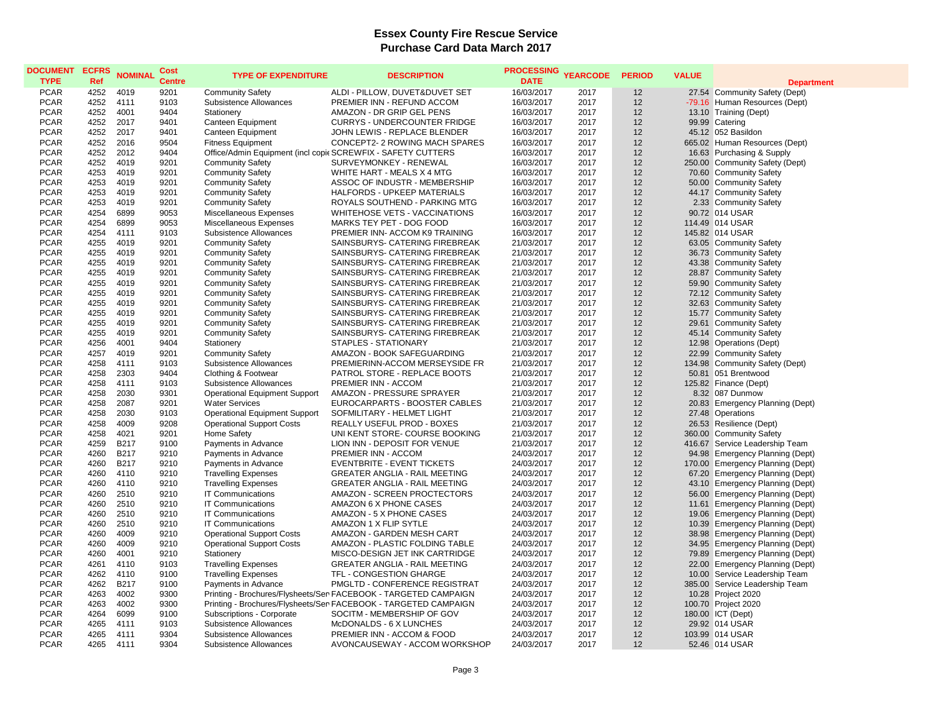| <b>DOCUMENT</b><br><b>TYPE</b> | <b>ECFRS</b><br>Ref | <b>NOMINAL</b> | Cost<br><b>Centre</b> | <b>TYPE OF EXPENDITURE</b>           | <b>DESCRIPTION</b>                                              | <b>PROCESSING</b><br><b>DATE</b> | <b>YEARCODE</b> | <b>PERIOD</b> | <b>VALUE</b> | <b>Department</b>                |
|--------------------------------|---------------------|----------------|-----------------------|--------------------------------------|-----------------------------------------------------------------|----------------------------------|-----------------|---------------|--------------|----------------------------------|
| <b>PCAR</b>                    | 4252                | 4019           | 9201                  | <b>Community Safety</b>              | ALDI - PILLOW, DUVET&DUVET SET                                  | 16/03/2017                       | 2017            | 12            |              | 27.54 Community Safety (Dept)    |
| <b>PCAR</b>                    | 4252                | 4111           | 9103                  | Subsistence Allowances               | PREMIER INN - REFUND ACCOM                                      | 16/03/2017                       | 2017            | 12            |              | -79.16 Human Resources (Dept)    |
| <b>PCAR</b>                    | 4252                | 4001           | 9404                  | Stationery                           | AMAZON - DR GRIP GEL PENS                                       | 16/03/2017                       | 2017            | 12            |              | 13.10 Training (Dept)            |
| <b>PCAR</b>                    | 4252                | 2017           | 9401                  | Canteen Equipment                    | <b>CURRYS - UNDERCOUNTER FRIDGE</b>                             | 16/03/2017                       | 2017            | 12            |              | 99.99 Catering                   |
| <b>PCAR</b>                    | 4252                | 2017           | 9401                  | Canteen Equipment                    | JOHN LEWIS - REPLACE BLENDER                                    | 16/03/2017                       | 2017            | 12            |              | 45.12 052 Basildon               |
| <b>PCAR</b>                    | 4252                | 2016           | 9504                  | <b>Fitness Equipment</b>             | CONCEPT2-2 ROWING MACH SPARES                                   | 16/03/2017                       | 2017            | 12            |              | 665.02 Human Resources (Dept)    |
| <b>PCAR</b>                    | 4252                | 2012           | 9404                  |                                      | Office/Admin Equipment (incl copic SCREWFIX - SAFETY CUTTERS    | 16/03/2017                       | 2017            | 12            |              | 16.63 Purchasing & Supply        |
| <b>PCAR</b>                    | 4252                | 4019           | 9201                  | <b>Community Safety</b>              | SURVEYMONKEY - RENEWAL                                          | 16/03/2017                       | 2017            | 12            |              | 250.00 Community Safety (Dept)   |
| <b>PCAR</b>                    | 4253                | 4019           | 9201                  | <b>Community Safety</b>              | WHITE HART - MEALS X 4 MTG                                      | 16/03/2017                       | 2017            | 12            |              | 70.60 Community Safety           |
| <b>PCAR</b>                    | 4253                | 4019           | 9201                  | <b>Community Safety</b>              | ASSOC OF INDUSTR - MEMBERSHIP                                   | 16/03/2017                       | 2017            | 12            |              | 50.00 Community Safety           |
| <b>PCAR</b>                    | 4253                | 4019           | 9201                  | <b>Community Safety</b>              | HALFORDS - UPKEEP MATERIALS                                     | 16/03/2017                       | 2017            | 12            |              | 44.17 Community Safety           |
| <b>PCAR</b>                    | 4253                | 4019           | 9201                  | <b>Community Safety</b>              | ROYALS SOUTHEND - PARKING MTG                                   | 16/03/2017                       | 2017            | 12            |              | 2.33 Community Safety            |
| <b>PCAR</b>                    | 4254                | 6899           | 9053                  | Miscellaneous Expenses               | WHITEHOSE VETS - VACCINATIONS                                   | 16/03/2017                       | 2017            | 12            |              | 90.72 014 USAR                   |
| <b>PCAR</b>                    | 4254                | 6899           | 9053                  | Miscellaneous Expenses               | MARKS TEY PET - DOG FOOD                                        | 16/03/2017                       | 2017            | 12            |              | 114.49 014 USAR                  |
| <b>PCAR</b>                    | 4254                | 4111           | 9103                  | Subsistence Allowances               | PREMIER INN- ACCOM K9 TRAINING                                  | 16/03/2017                       | 2017            | 12            |              | 145.82 014 USAR                  |
| <b>PCAR</b>                    | 4255                | 4019           | 9201                  | <b>Community Safety</b>              | SAINSBURYS- CATERING FIREBREAK                                  | 21/03/2017                       | 2017            | 12            |              | 63.05 Community Safety           |
| <b>PCAR</b>                    | 4255                | 4019           | 9201                  | <b>Community Safety</b>              | SAINSBURYS- CATERING FIREBREAK                                  | 21/03/2017                       | 2017            | 12            |              | 36.73 Community Safety           |
|                                |                     | 4019           | 9201                  |                                      |                                                                 |                                  | 2017            |               |              |                                  |
| <b>PCAR</b>                    | 4255                |                |                       | <b>Community Safety</b>              | SAINSBURYS- CATERING FIREBREAK                                  | 21/03/2017                       |                 | 12            |              | 43.38 Community Safety           |
| <b>PCAR</b>                    | 4255                | 4019           | 9201                  | <b>Community Safety</b>              | SAINSBURYS- CATERING FIREBREAK                                  | 21/03/2017                       | 2017            | 12            |              | 28.87 Community Safety           |
| <b>PCAR</b>                    | 4255                | 4019           | 9201                  | <b>Community Safety</b>              | SAINSBURYS- CATERING FIREBREAK                                  | 21/03/2017                       | 2017            | 12            |              | 59.90 Community Safety           |
| <b>PCAR</b>                    | 4255                | 4019           | 9201                  | <b>Community Safety</b>              | SAINSBURYS- CATERING FIREBREAK                                  | 21/03/2017                       | 2017            | 12            |              | 72.12 Community Safety           |
| <b>PCAR</b>                    | 4255                | 4019           | 9201                  | <b>Community Safety</b>              | SAINSBURYS- CATERING FIREBREAK                                  | 21/03/2017                       | 2017            | 12            |              | 32.63 Community Safety           |
| <b>PCAR</b>                    | 4255                | 4019           | 9201                  | <b>Community Safety</b>              | SAINSBURYS- CATERING FIREBREAK                                  | 21/03/2017                       | 2017            | 12            |              | 15.77 Community Safety           |
| <b>PCAR</b>                    | 4255                | 4019           | 9201                  | <b>Community Safety</b>              | SAINSBURYS- CATERING FIREBREAK                                  | 21/03/2017                       | 2017            | 12            |              | 29.61 Community Safety           |
| <b>PCAR</b>                    | 4255                | 4019           | 9201                  | <b>Community Safety</b>              | SAINSBURYS- CATERING FIREBREAK                                  | 21/03/2017                       | 2017            | 12            |              | 45.14 Community Safety           |
| <b>PCAR</b>                    | 4256                | 4001           | 9404                  | Stationery                           | STAPLES - STATIONARY                                            | 21/03/2017                       | 2017            | 12            |              | 12.98 Operations (Dept)          |
| <b>PCAR</b>                    | 4257                | 4019           | 9201                  | <b>Community Safety</b>              | AMAZON - BOOK SAFEGUARDING                                      | 21/03/2017                       | 2017            | 12            |              | 22.99 Community Safety           |
| <b>PCAR</b>                    | 4258                | 4111           | 9103                  | Subsistence Allowances               | PREMIERINN-ACCOM MERSEYSIDE FR                                  | 21/03/2017                       | 2017            | 12            |              | 134.98 Community Safety (Dept)   |
| <b>PCAR</b>                    | 4258                | 2303           | 9404                  | Clothing & Footwear                  | PATROL STORE - REPLACE BOOTS                                    | 21/03/2017                       | 2017            | 12            |              | 50.81 051 Brentwood              |
| <b>PCAR</b>                    | 4258                | 4111           | 9103                  | Subsistence Allowances               | PREMIER INN - ACCOM                                             | 21/03/2017                       | 2017            | 12            |              | 125.82 Finance (Dept)            |
| <b>PCAR</b>                    | 4258                | 2030           | 9301                  | <b>Operational Equipment Support</b> | AMAZON - PRESSURE SPRAYER                                       | 21/03/2017                       | 2017            | 12            |              | 8.32 087 Dunmow                  |
| <b>PCAR</b>                    | 4258                | 2087           | 9201                  | <b>Water Services</b>                | EUROCARPARTS - BOOSTER CABLES                                   | 21/03/2017                       | 2017            | 12            |              | 20.83 Emergency Planning (Dept)  |
| <b>PCAR</b>                    | 4258                | 2030           | 9103                  | <b>Operational Equipment Support</b> | SOFMILITARY - HELMET LIGHT                                      | 21/03/2017                       | 2017            | 12            |              | 27.48 Operations                 |
| <b>PCAR</b>                    | 4258                | 4009           | 9208                  | <b>Operational Support Costs</b>     | REALLY USEFUL PROD - BOXES                                      | 21/03/2017                       | 2017            | 12            |              | 26.53 Resilience (Dept)          |
| <b>PCAR</b>                    | 4258                | 4021           | 9201                  | Home Safety                          | UNI KENT STORE- COURSE BOOKING                                  | 21/03/2017                       | 2017            | 12            |              | 360.00 Community Safety          |
| <b>PCAR</b>                    | 4259                | <b>B217</b>    | 9100                  | Payments in Advance                  | LION INN - DEPOSIT FOR VENUE                                    | 21/03/2017                       | 2017            | 12            |              | 416.67 Service Leadership Team   |
| <b>PCAR</b>                    | 4260                | <b>B217</b>    | 9210                  | Payments in Advance                  | PREMIER INN - ACCOM                                             | 24/03/2017                       | 2017            | 12            |              | 94.98 Emergency Planning (Dept)  |
| <b>PCAR</b>                    | 4260                | <b>B217</b>    | 9210                  | Payments in Advance                  | EVENTBRITE - EVENT TICKETS                                      | 24/03/2017                       | 2017            | 12            |              | 170.00 Emergency Planning (Dept) |
| <b>PCAR</b>                    | 4260                | 4110           | 9210                  | <b>Travelling Expenses</b>           | <b>GREATER ANGLIA - RAIL MEETING</b>                            | 24/03/2017                       | 2017            | 12            |              | 67.20 Emergency Planning (Dept)  |
| <b>PCAR</b>                    | 4260                | 4110           | 9210                  | <b>Travelling Expenses</b>           | GREATER ANGLIA - RAIL MEETING                                   | 24/03/2017                       | 2017            | 12            |              | 43.10 Emergency Planning (Dept)  |
| <b>PCAR</b>                    | 4260                | 2510           | 9210                  | <b>IT Communications</b>             | AMAZON - SCREEN PROCTECTORS                                     | 24/03/2017                       | 2017            | 12            |              | 56.00 Emergency Planning (Dept)  |
| <b>PCAR</b>                    | 4260                | 2510           | 9210                  | <b>IT Communications</b>             | AMAZON 6 X PHONE CASES                                          | 24/03/2017                       | 2017            | 12            |              | 11.61 Emergency Planning (Dept)  |
| <b>PCAR</b>                    | 4260                | 2510           | 9210                  | <b>IT Communications</b>             | AMAZON - 5 X PHONE CASES                                        | 24/03/2017                       | 2017            | 12            | 19.06        | <b>Emergency Planning (Dept)</b> |
| <b>PCAR</b>                    | 4260                | 2510           | 9210                  | <b>IT Communications</b>             | AMAZON 1 X FLIP SYTLE                                           | 24/03/2017                       | 2017            | 12            |              | 10.39 Emergency Planning (Dept)  |
| <b>PCAR</b>                    | 4260                | 4009           | 9210                  | <b>Operational Support Costs</b>     | AMAZON - GARDEN MESH CART                                       | 24/03/2017                       | 2017            | 12            |              | 38.98 Emergency Planning (Dept)  |
| <b>PCAR</b>                    | 4260                | 4009           | 9210                  | <b>Operational Support Costs</b>     | AMAZON - PLASTIC FOLDING TABLE                                  | 24/03/2017                       | 2017            | 12            |              | 34.95 Emergency Planning (Dept)  |
| <b>PCAR</b>                    | 4260                | 4001           | 9210                  | Stationery                           | MISCO-DESIGN JET INK CARTRIDGE                                  | 24/03/2017                       | 2017            | 12            |              | 79.89 Emergency Planning (Dept)  |
| <b>PCAR</b>                    | 4261                | 4110           | 9103                  | <b>Travelling Expenses</b>           | <b>GREATER ANGLIA - RAIL MEETING</b>                            | 24/03/2017                       | 2017            | 12            |              | 22.00 Emergency Planning (Dept)  |
| <b>PCAR</b>                    | 4262                | 4110           | 9100                  | <b>Travelling Expenses</b>           | TFL - CONGESTION GHARGE                                         | 24/03/2017                       | 2017            | 12            |              | 10.00 Service Leadership Team    |
| <b>PCAR</b>                    | 4262                | <b>B217</b>    | 9100                  | Payments in Advance                  | PMGLTD - CONFERENCE REGISTRAT                                   | 24/03/2017                       | 2017            | 12            |              | 385.00 Service Leadership Team   |
| <b>PCAR</b>                    | 4263                | 4002           | 9300                  |                                      | Printing - Brochures/Flysheets/Ser FACEBOOK - TARGETED CAMPAIGN | 24/03/2017                       | 2017            | 12            |              | 10.28 Project 2020               |
| <b>PCAR</b>                    | 4263                | 4002           | 9300                  |                                      | Printing - Brochures/Flysheets/Ser FACEBOOK - TARGETED CAMPAIGN | 24/03/2017                       | 2017            | 12            |              | 100.70 Project 2020              |
| <b>PCAR</b>                    | 4264                | 6099           | 9100                  | Subscriptions - Corporate            | SOCITM - MEMBERSHIP OF GOV                                      | 24/03/2017                       | 2017            | 12            |              | 180.00 ICT (Dept)                |
| <b>PCAR</b>                    | 4265                | 4111           | 9103                  | Subsistence Allowances               | McDONALDS - 6 X LUNCHES                                         | 24/03/2017                       | 2017            | 12            |              | 29.92 014 USAR                   |
| <b>PCAR</b>                    | 4265                | 4111           | 9304                  | Subsistence Allowances               | PREMIER INN - ACCOM & FOOD                                      | 24/03/2017                       | 2017            | 12            |              | 103.99 014 USAR                  |
| <b>PCAR</b>                    | 4265                | 4111           | 9304                  | Subsistence Allowances               | AVONCAUSEWAY - ACCOM WORKSHOP                                   | 24/03/2017                       | 2017            | 12            |              | 52.46 014 USAR                   |